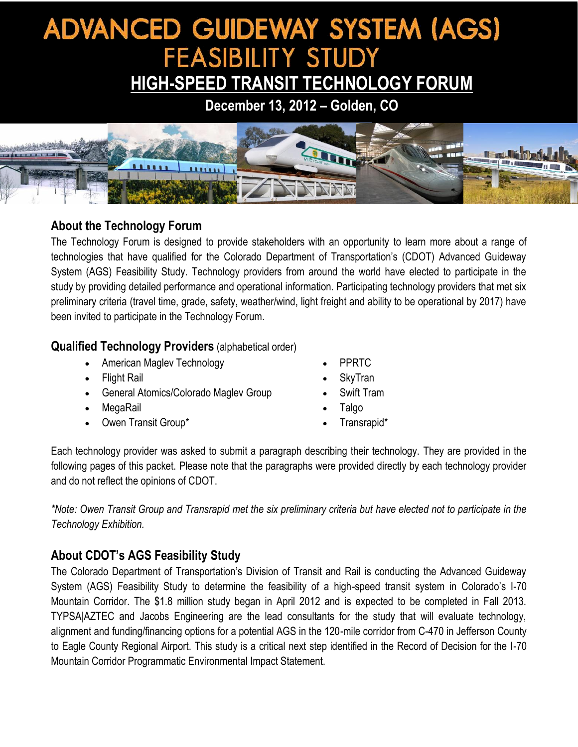# **ADVANCED GUIDEWAY SYSTEM (AGS) FEASIBILITY STUDY**

# **HIGH-SPEED TRANSIT TECHNOLOGY FORUM**

**December 13, 2012 – Golden, CO**



#### **About the Technology Forum**

The Technology Forum is designed to provide stakeholders with an opportunity to learn more about a range of technologies that have qualified for the Colorado Department of Transportation's (CDOT) Advanced Guideway System (AGS) Feasibility Study. Technology providers from around the world have elected to participate in the study by providing detailed performance and operational information. Participating technology providers that met six preliminary criteria (travel time, grade, safety, weather/wind, light freight and ability to be operational by 2017) have been invited to participate in the Technology Forum.

#### **Qualified Technology Providers** (alphabetical order)

- American Maglev Technology
- Flight Rail
- General Atomics/Colorado Maglev Group
- MegaRail
- Owen Transit Group\*
- PPRTC
- SkyTran
- Swift Tram
- Talgo
- Transrapid\*

Each technology provider was asked to submit a paragraph describing their technology. They are provided in the following pages of this packet. Please note that the paragraphs were provided directly by each technology provider and do not reflect the opinions of CDOT.

*\*Note: Owen Transit Group and Transrapid met the six preliminary criteria but have elected not to participate in the Technology Exhibition.*

### **About CDOT's AGS Feasibility Study**

The Colorado Department of Transportation's Division of Transit and Rail is conducting the Advanced Guideway System (AGS) Feasibility Study to determine the feasibility of a high-speed transit system in Colorado's I-70 Mountain Corridor. The \$1.8 million study began in April 2012 and is expected to be completed in Fall 2013. TYPSA|AZTEC and Jacobs Engineering are the lead consultants for the study that will evaluate technology, alignment and funding/financing options for a potential AGS in the 120-mile corridor from C-470 in Jefferson County to Eagle County Regional Airport. This study is a critical next step identified in the Record of Decision for the I-70 Mountain Corridor Programmatic Environmental Impact Statement.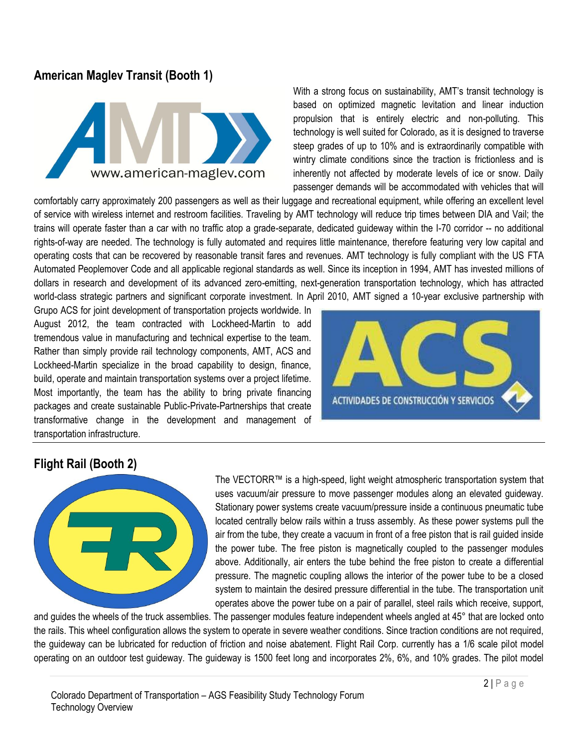#### **American Maglev Transit (Booth 1)**



With a strong focus on sustainability, AMT's transit technology is based on optimized magnetic levitation and linear induction propulsion that is entirely electric and non-polluting. This technology is well suited for Colorado, as it is designed to traverse steep grades of up to 10% and is extraordinarily compatible with wintry climate conditions since the traction is frictionless and is inherently not affected by moderate levels of ice or snow. Daily passenger demands will be accommodated with vehicles that will

comfortably carry approximately 200 passengers as well as their luggage and recreational equipment, while offering an excellent level of service with wireless internet and restroom facilities. Traveling by AMT technology will reduce trip times between DIA and Vail; the trains will operate faster than a car with no traffic atop a grade-separate, dedicated guideway within the I-70 corridor -- no additional rights-of-way are needed. The technology is fully automated and requires little maintenance, therefore featuring very low capital and operating costs that can be recovered by reasonable transit fares and revenues. AMT technology is fully compliant with the US FTA Automated Peoplemover Code and all applicable regional standards as well. Since its inception in 1994, AMT has invested millions of dollars in research and development of its advanced zero-emitting, next-generation transportation technology, which has attracted world-class strategic partners and significant corporate investment. In April 2010, AMT signed a 10-year exclusive partnership with

Grupo ACS for joint development of transportation projects worldwide. In August 2012, the team contracted with Lockheed-Martin to add tremendous value in manufacturing and technical expertise to the team. Rather than simply provide rail technology components, AMT, ACS and Lockheed-Martin specialize in the broad capability to design, finance, build, operate and maintain transportation systems over a project lifetime. Most importantly, the team has the ability to bring private financing packages and create sustainable Public-Private-Partnerships that create transformative change in the development and management of transportation infrastructure.



#### **Flight Rail (Booth 2)**



The VECTORR™ is a high-speed, light weight atmospheric transportation system that uses vacuum/air pressure to move passenger modules along an elevated guideway. Stationary power systems create vacuum/pressure inside a continuous pneumatic tube located centrally below rails within a truss assembly. As these power systems pull the air from the tube, they create a vacuum in front of a free piston that is rail guided inside the power tube. The free piston is magnetically coupled to the passenger modules above. Additionally, air enters the tube behind the free piston to create a differential pressure. The magnetic coupling allows the interior of the power tube to be a closed system to maintain the desired pressure differential in the tube. The transportation unit operates above the power tube on a pair of parallel, steel rails which receive, support,

and guides the wheels of the truck assemblies. The passenger modules feature independent wheels angled at 45° that are locked onto the rails. This wheel configuration allows the system to operate in severe weather conditions. Since traction conditions are not required, the guideway can be lubricated for reduction of friction and noise abatement. Flight Rail Corp. currently has a 1/6 scale pilot model operating on an outdoor test guideway. The guideway is 1500 feet long and incorporates 2%, 6%, and 10% grades. The pilot model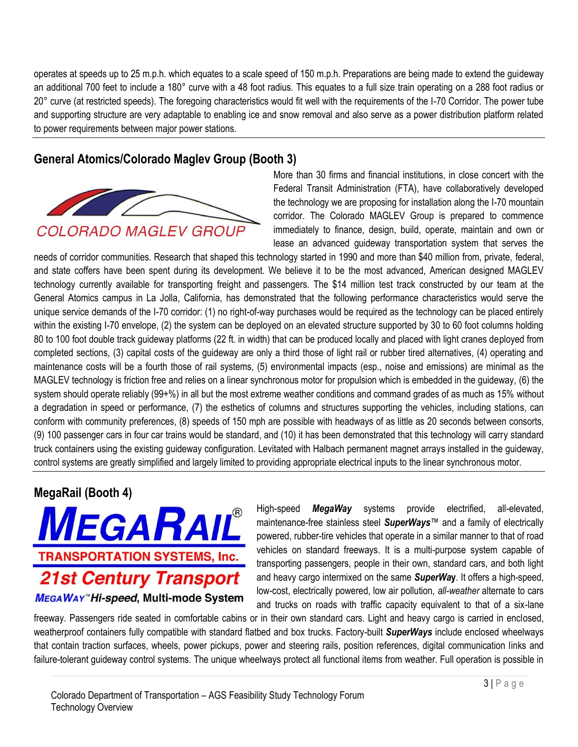operates at speeds up to 25 m.p.h. which equates to a scale speed of 150 m.p.h. Preparations are being made to extend the guideway an additional 700 feet to include a 180° curve with a 48 foot radius. This equates to a full size train operating on a 288 foot radius or 20° curve (at restricted speeds). The foregoing characteristics would fit well with the requirements of the I-70 Corridor. The power tube and supporting structure are very adaptable to enabling ice and snow removal and also serve as a power distribution platform related to power requirements between major power stations.

### **General Atomics/Colorado Maglev Group (Booth 3)**



More than 30 firms and financial institutions, in close concert with the Federal Transit Administration (FTA), have collaboratively developed the technology we are proposing for installation along the I-70 mountain corridor. The Colorado MAGLEV Group is prepared to commence immediately to finance, design, build, operate, maintain and own or lease an advanced guideway transportation system that serves the

needs of corridor communities. Research that shaped this technology started in 1990 and more than \$40 million from, private, federal, and state coffers have been spent during its development. We believe it to be the most advanced, American designed MAGLEV technology currently available for transporting freight and passengers. The \$14 million test track constructed by our team at the General Atomics campus in La Jolla, California, has demonstrated that the following performance characteristics would serve the unique service demands of the I-70 corridor: (1) no right-of-way purchases would be required as the technology can be placed entirely within the existing I-70 envelope, (2) the system can be deployed on an elevated structure supported by 30 to 60 foot columns holding 80 to 100 foot double track guideway platforms (22 ft. in width) that can be produced locally and placed with light cranes deployed from completed sections, (3) capital costs of the guideway are only a third those of light rail or rubber tired alternatives, (4) operating and maintenance costs will be a fourth those of rail systems, (5) environmental impacts (esp., noise and emissions) are minimal as the MAGLEV technology is friction free and relies on a linear synchronous motor for propulsion which is embedded in the guideway, (6) the system should operate reliably (99+%) in all but the most extreme weather conditions and command grades of as much as 15% without a degradation in speed or performance, (7) the esthetics of columns and structures supporting the vehicles, including stations, can conform with community preferences, (8) speeds of 150 mph are possible with headways of as little as 20 seconds between consorts, (9) 100 passenger cars in four car trains would be standard, and (10) it has been demonstrated that this technology will carry standard truck containers using the existing guideway configuration. Levitated with Halbach permanent magnet arrays installed in the guideway, control systems are greatly simplified and largely limited to providing appropriate electrical inputs to the linear synchronous motor.

#### **MegaRail (Booth 4)**



High-speed *MegaWay* systems provide electrified, all-elevated, maintenance-free stainless steel *SuperWays*™ and a family of electrically powered, rubber-tire vehicles that operate in a similar manner to that of road vehicles on standard freeways. It is a multi-purpose system capable of transporting passengers, people in their own, standard cars, and both light and heavy cargo intermixed on the same *SuperWa***y**. It offers a high-speed, low-cost, electrically powered, low air pollution, *all-weather* alternate to cars and trucks on roads with traffic capacity equivalent to that of a six-lane

freeway. Passengers ride seated in comfortable cabins or in their own standard cars. Light and heavy cargo is carried in enclosed, weatherproof containers fully compatible with standard flatbed and box trucks. Factory-built *SuperWays* include enclosed wheelways that contain traction surfaces, wheels, power pickups, power and steering rails, position references, digital communication links and failure-tolerant guideway control systems. The unique wheelways protect all functional items from weather. Full operation is possible in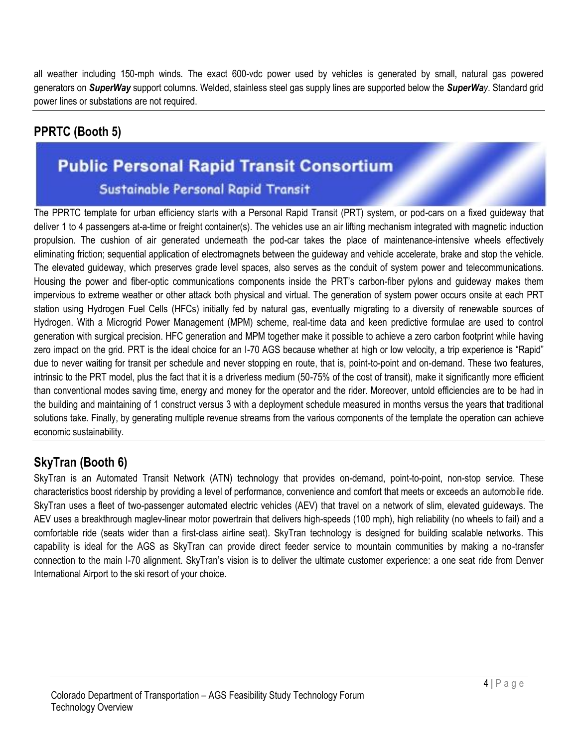all weather including 150-mph winds. The exact 600-vdc power used by vehicles is generated by small, natural gas powered generators on *SuperWay* support columns. Welded, stainless steel gas supply lines are supported below the *SuperWay*. Standard grid power lines or substations are not required.

## **PPRTC (Booth 5)**

# **Public Personal Rapid Transit Consortium** Sustainable Personal Rapid Transit

The PPRTC template for urban efficiency starts with a Personal Rapid Transit (PRT) system, or pod-cars on a fixed guideway that deliver 1 to 4 passengers at-a-time or freight container(s). The vehicles use an air lifting mechanism integrated with magnetic induction propulsion. The cushion of air generated underneath the pod-car takes the place of maintenance-intensive wheels effectively eliminating friction; sequential application of electromagnets between the guideway and vehicle accelerate, brake and stop the vehicle. The elevated guideway, which preserves grade level spaces, also serves as the conduit of system power and telecommunications. Housing the power and fiber-optic communications components inside the PRT's carbon-fiber pylons and guideway makes them impervious to extreme weather or other attack both physical and virtual. The generation of system power occurs onsite at each PRT station using Hydrogen Fuel Cells (HFCs) initially fed by natural gas, eventually migrating to a diversity of renewable sources of Hydrogen. With a Microgrid Power Management (MPM) scheme, real-time data and keen predictive formulae are used to control generation with surgical precision. HFC generation and MPM together make it possible to achieve a zero carbon footprint while having zero impact on the grid. PRT is the ideal choice for an I-70 AGS because whether at high or low velocity, a trip experience is "Rapid" due to never waiting for transit per schedule and never stopping en route, that is, point-to-point and on-demand. These two features, intrinsic to the PRT model, plus the fact that it is a driverless medium (50-75% of the cost of transit), make it significantly more efficient than conventional modes saving time, energy and money for the operator and the rider. Moreover, untold efficiencies are to be had in the building and maintaining of 1 construct versus 3 with a deployment schedule measured in months versus the years that traditional solutions take. Finally, by generating multiple revenue streams from the various components of the template the operation can achieve economic sustainability.

## **SkyTran (Booth 6)**

SkyTran is an Automated Transit Network (ATN) technology that provides on-demand, point-to-point, non-stop service. These characteristics boost ridership by providing a level of performance, convenience and comfort that meets or exceeds an automobile ride. SkyTran uses a fleet of two-passenger automated electric vehicles (AEV) that travel on a network of slim, elevated guideways. The AEV uses a breakthrough maglev-linear motor powertrain that delivers high-speeds (100 mph), high reliability (no wheels to fail) and a comfortable ride (seats wider than a first-class airline seat). SkyTran technology is designed for building scalable networks. This capability is ideal for the AGS as SkyTran can provide direct feeder service to mountain communities by making a no-transfer connection to the main I-70 alignment. SkyTran's vision is to deliver the ultimate customer experience: a one seat ride from Denver International Airport to the ski resort of your choice.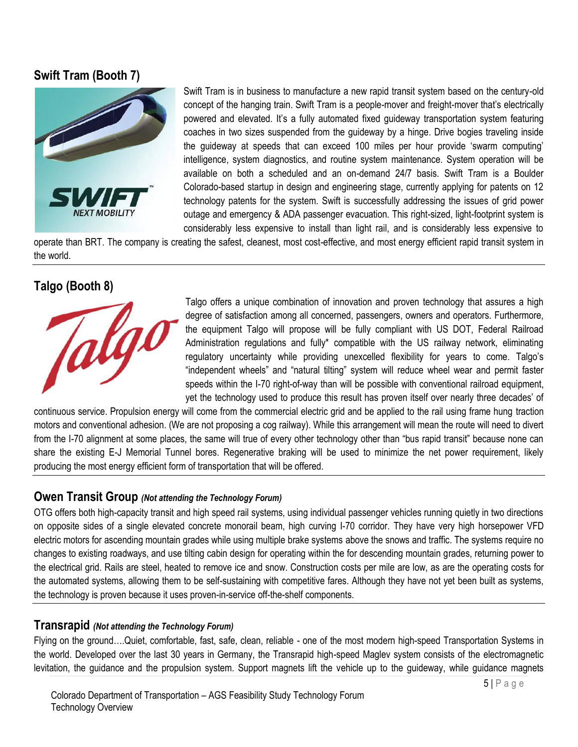#### **Swift Tram (Booth 7)**



Swift Tram is in business to manufacture a new rapid transit system based on the century-old concept of the hanging train. Swift Tram is a people-mover and freight-mover that's electrically powered and elevated. It's a fully automated fixed guideway transportation system featuring coaches in two sizes suspended from the guideway by a hinge. Drive bogies traveling inside the guideway at speeds that can exceed 100 miles per hour provide 'swarm computing' intelligence, system diagnostics, and routine system maintenance. System operation will be available on both a scheduled and an on-demand 24/7 basis. Swift Tram is a Boulder Colorado-based startup in design and engineering stage, currently applying for patents on 12 technology patents for the system. Swift is successfully addressing the issues of grid power outage and emergency & ADA passenger evacuation. This right-sized, light-footprint system is considerably less expensive to install than light rail, and is considerably less expensive to

operate than BRT. The company is creating the safest, cleanest, most cost-effective, and most energy efficient rapid transit system in the world.

#### **Talgo (Booth 8)**



Talgo offers a unique combination of innovation and proven technology that assures a high degree of satisfaction among all concerned, passengers, owners and operators. Furthermore, the equipment Talgo will propose will be fully compliant with US DOT, Federal Railroad Administration regulations and fully\* compatible with the US railway network, eliminating regulatory uncertainty while providing unexcelled flexibility for years to come. Talgo's "independent wheels" and "natural tilting" system will reduce wheel wear and permit faster speeds within the I-70 right-of-way than will be possible with conventional railroad equipment, yet the technology used to produce this result has proven itself over nearly three decades' of

continuous service. Propulsion energy will come from the commercial electric grid and be applied to the rail using frame hung traction motors and conventional adhesion. (We are not proposing a cog railway). While this arrangement will mean the route will need to divert from the I-70 alignment at some places, the same will true of every other technology other than "bus rapid transit" because none can share the existing E-J Memorial Tunnel bores. Regenerative braking will be used to minimize the net power requirement, likely producing the most energy efficient form of transportation that will be offered.

#### **Owen Transit Group** *(Not attending the Technology Forum)*

OTG offers both high-capacity transit and high speed rail systems, using individual passenger vehicles running quietly in two directions on opposite sides of a single elevated concrete monorail beam, high curving I-70 corridor. They have very high horsepower VFD electric motors for ascending mountain grades while using multiple brake systems above the snows and traffic. The systems require no changes to existing roadways, and use tilting cabin design for operating within the for descending mountain grades, returning power to the electrical grid. Rails are steel, heated to remove ice and snow. Construction costs per mile are low, as are the operating costs for the automated systems, allowing them to be self-sustaining with competitive fares. Although they have not yet been built as systems, the technology is proven because it uses proven-in-service off-the-shelf components.

#### **Transrapid** *(Not attending the Technology Forum)*

Flying on the ground….Quiet, comfortable, fast, safe, clean, reliable - one of the most modern high-speed Transportation Systems in the world. Developed over the last 30 years in Germany, the Transrapid high-speed Maglev system consists of the electromagnetic levitation, the guidance and the propulsion system. Support magnets lift the vehicle up to the guideway, while guidance magnets